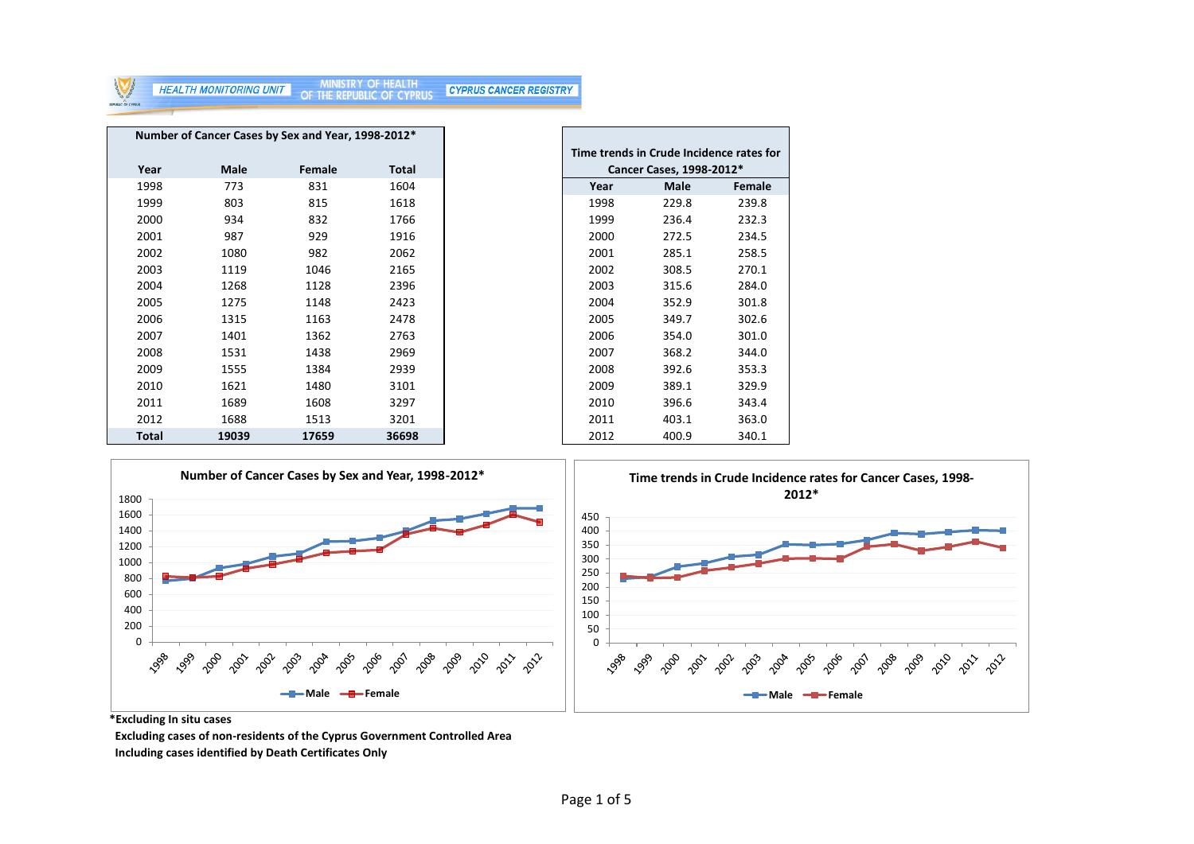

|              |       | Number of Cancer Cases by Sex and Year, 1998-2012* |       |
|--------------|-------|----------------------------------------------------|-------|
|              |       |                                                    |       |
| Year         | Male  | Female                                             | Total |
| 1998         | 773   | 831                                                | 1604  |
| 1999         | 803   | 815                                                | 1618  |
| 2000         | 934   | 832                                                | 1766  |
| 2001         | 987   | 929                                                | 1916  |
| 2002         | 1080  | 982                                                | 2062  |
| 2003         | 1119  | 1046                                               | 2165  |
| 2004         | 1268  | 1128                                               | 2396  |
| 2005         | 1275  | 1148                                               | 2423  |
| 2006         | 1315  | 1163                                               | 2478  |
| 2007         | 1401  | 1362                                               | 2763  |
| 2008         | 1531  | 1438                                               | 2969  |
| 2009         | 1555  | 1384                                               | 2939  |
| 2010         | 1621  | 1480                                               | 3101  |
| 2011         | 1689  | 1608                                               | 3297  |
| 2012         | 1688  | 1513                                               | 3201  |
| <b>Total</b> | 19039 | 17659                                              | 36698 |

| Time trends in Crude Incidence rates for<br>Cancer Cases, 1998-2012* |       |        |  |  |  |  |  |  |  |  |  |  |  |
|----------------------------------------------------------------------|-------|--------|--|--|--|--|--|--|--|--|--|--|--|
| Year                                                                 | Male  | Female |  |  |  |  |  |  |  |  |  |  |  |
| 1998                                                                 | 229.8 | 239.8  |  |  |  |  |  |  |  |  |  |  |  |
| 1999                                                                 | 236.4 | 232.3  |  |  |  |  |  |  |  |  |  |  |  |
| 2000                                                                 | 272.5 | 234.5  |  |  |  |  |  |  |  |  |  |  |  |
| 2001                                                                 | 285.1 | 258.5  |  |  |  |  |  |  |  |  |  |  |  |
| 2002                                                                 | 308.5 | 270.1  |  |  |  |  |  |  |  |  |  |  |  |
| 2003                                                                 | 315.6 | 284.0  |  |  |  |  |  |  |  |  |  |  |  |
| 2004                                                                 | 352.9 | 301.8  |  |  |  |  |  |  |  |  |  |  |  |
| 2005                                                                 | 349.7 | 302.6  |  |  |  |  |  |  |  |  |  |  |  |
| 2006                                                                 | 354.0 | 301.0  |  |  |  |  |  |  |  |  |  |  |  |
| 2007                                                                 | 368.2 | 344.0  |  |  |  |  |  |  |  |  |  |  |  |
| 2008                                                                 | 392.6 | 353.3  |  |  |  |  |  |  |  |  |  |  |  |
| 2009                                                                 | 389.1 | 329.9  |  |  |  |  |  |  |  |  |  |  |  |
| 2010                                                                 | 396.6 | 343.4  |  |  |  |  |  |  |  |  |  |  |  |
| 2011                                                                 | 403.1 | 363.0  |  |  |  |  |  |  |  |  |  |  |  |
| 2012                                                                 | 400.9 | 340.1  |  |  |  |  |  |  |  |  |  |  |  |



**\*Excluding In situ cases**

 **Excluding cases of non-residents of the Cyprus Government Controlled Area Including cases identified by Death Certificates Only**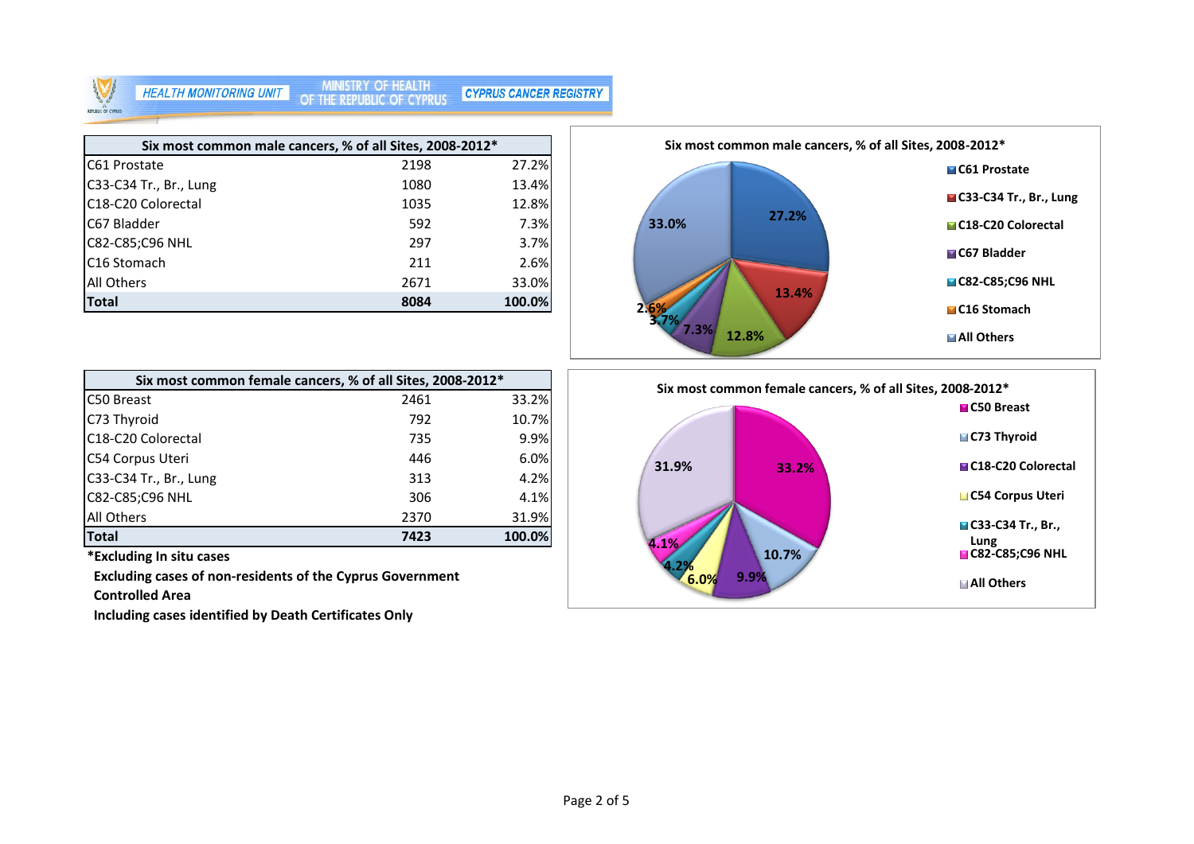### MINISTRY OF HEALTH<br>OF THE REPUBLIC OF CYPRUS **HEALTH MONITORING UNIT**

**CYPRUS CANCER REGISTRY** 

| Six most common male cancers, % of all Sites, 2008-2012* |      |        |
|----------------------------------------------------------|------|--------|
| C61 Prostate                                             | 2198 | 27.2%  |
| C33-C34 Tr., Br., Lung                                   | 1080 | 13.4%  |
| C <sub>18</sub> -C <sub>20</sub> Colorectal              | 1035 | 12.8%  |
| C67 Bladder                                              | 592  | 7.3%   |
| C82-C85;C96 NHL                                          | 297  | 3.7%   |
| C <sub>16</sub> Stomach                                  | 211  | 2.6%   |
| <b>All Others</b>                                        | 2671 | 33.0%  |
| <b>Total</b>                                             | 8084 | 100.0% |



|                        | Six most common female cancers, % of all Sites, 2008-2012* |        |
|------------------------|------------------------------------------------------------|--------|
| C50 Breast             | 2461                                                       | 33.2%  |
| C73 Thyroid            | 792                                                        | 10.7%  |
| C18-C20 Colorectal     | 735                                                        | 9.9%   |
| C54 Corpus Uteri       | 446                                                        | 6.0%   |
| C33-C34 Tr., Br., Lung | 313                                                        | 4.2%   |
| C82-C85;C96 NHL        | 306                                                        | 4.1%   |
| <b>All Others</b>      | 2370                                                       | 31.9%  |
| <b>Total</b>           | 7423                                                       | 100.0% |

**\*Excluding In situ cases**

 **Excluding cases of non-residents of the Cyprus Government** 

 **Controlled Area**

 **Including cases identified by Death Certificates Only**

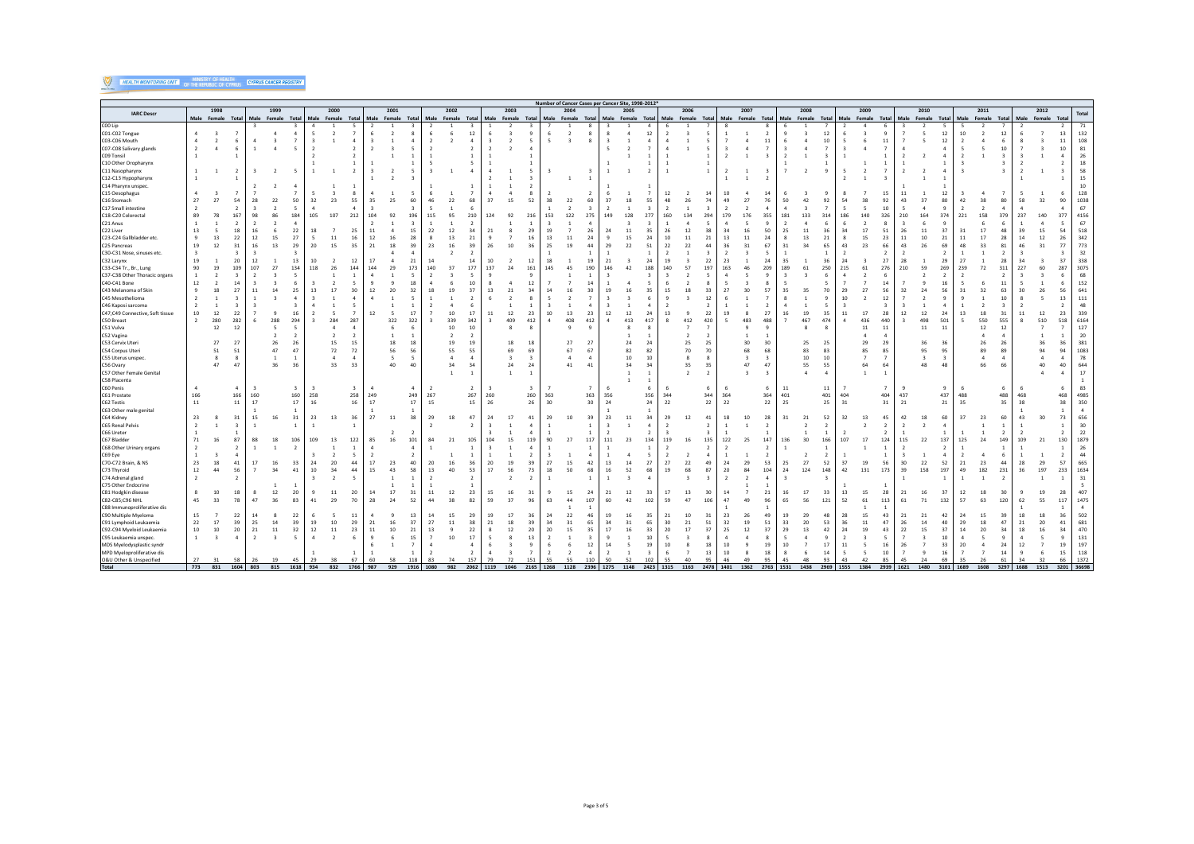# **WEALTH MONITORING UNIT OF THE REPUBLIC OF CYPRUS CANCER REGISTRY**

|                                                     | Number of Cancer Cases per Cancer Site, 1998-2012'<br>2002<br>2005<br>2006<br>2007<br>2010<br>2011<br>1998<br>1999<br>2000<br>2001<br>2003<br>2004<br>2008<br>2009<br>2012 |                          |                |                       |                          |                |                                   |                                                       |                |          |                          |                      |                         |                          |                            |                                     |                         |                               |                |              |                                |                                |                   |                                        |                                          |                          |           |                                |                         |                      |                        |                |                      |                                |                |                                  |                                     |                         |                                |                                |                   |                                  |                |                   |                               |                  |
|-----------------------------------------------------|----------------------------------------------------------------------------------------------------------------------------------------------------------------------------|--------------------------|----------------|-----------------------|--------------------------|----------------|-----------------------------------|-------------------------------------------------------|----------------|----------|--------------------------|----------------------|-------------------------|--------------------------|----------------------------|-------------------------------------|-------------------------|-------------------------------|----------------|--------------|--------------------------------|--------------------------------|-------------------|----------------------------------------|------------------------------------------|--------------------------|-----------|--------------------------------|-------------------------|----------------------|------------------------|----------------|----------------------|--------------------------------|----------------|----------------------------------|-------------------------------------|-------------------------|--------------------------------|--------------------------------|-------------------|----------------------------------|----------------|-------------------|-------------------------------|------------------|
| <b>IARC Descr</b>                                   |                                                                                                                                                                            |                          |                |                       |                          |                |                                   |                                                       |                |          |                          |                      |                         |                          |                            |                                     |                         |                               |                |              |                                |                                |                   | Male Female Total<br>Male Female Total |                                          |                          |           |                                |                         |                      |                        |                |                      |                                |                |                                  |                                     |                         |                                |                                |                   |                                  |                |                   | Total                         |                  |
|                                                     |                                                                                                                                                                            | Male Female Total        |                |                       | Male Female Total        |                |                                   | Male Female Total Male Female Total Male Female Total |                |          |                          |                      |                         |                          |                            | Male Female Total Male Female Total |                         |                               |                |              |                                |                                | Male Female Total |                                        |                                          |                          |           |                                |                         |                      | Male Female Total      |                |                      |                                |                |                                  | Male Female Total Male Female Total |                         |                                |                                | Male Female Total |                                  |                | Male Female Total |                               |                  |
| COO Lip<br>CO1-CO2 Tongue<br>C03-C06 Mouth          | $\overline{a}$<br>$\overline{a}$                                                                                                                                           | $\overline{\phantom{a}}$ |                | $\mathfrak{a}$        |                          | $\mathbf{A}$   | $\mathbf{A}$<br>5<br>$\mathbf{R}$ |                                                       | $\Lambda$      |          |                          |                      | 6<br>$\overline{2}$     | $\overline{\phantom{a}}$ | -3<br>12<br>$\overline{4}$ |                                     | $\overline{2}$          | 9<br>$\overline{\phantom{a}}$ | -5             | $\mathbf{R}$ | 8<br>8<br>8                    | $\overline{z}$                 |                   | 12<br>$\mathfrak{a}$                   | $\overline{2}$<br>$\overline{4}$         |                          |           | 1<br>$\overline{7}$            | $\mathbf{A}$            | $\overline{2}$<br>11 |                        | $\mathbf{d}$   | 12<br>10             | $\overline{\phantom{a}}$       |                | 11                               |                                     | 5<br>5                  | -5<br>12<br>12                 | 10<br>$\overline{\phantom{a}}$ | $\mathbf{A}$      | 12<br>6                          |                |                   | 13<br>11                      | 71<br>132<br>108 |
| C07-C08 Salivary glands                             | $\overline{2}$                                                                                                                                                             |                          |                |                       |                          |                |                                   |                                                       |                |          |                          |                      |                         |                          | $\overline{2}$             |                                     |                         | $\mathbf{A}$                  |                |              |                                |                                |                   |                                        | $\mathfrak{a}$                           |                          |           |                                |                         |                      |                        |                |                      |                                |                |                                  |                                     |                         | $\Delta$                       |                                |                   | 10                               |                |                   | 10 <sup>10</sup>              | 81               |
| C09 Tonsil<br>C10 Other Oropharynx                  |                                                                                                                                                                            |                          |                |                       |                          |                |                                   |                                                       |                |          |                          |                      |                         |                          |                            |                                     |                         |                               |                |              |                                |                                |                   |                                        | $\overline{1}$                           |                          |           | $\overline{2}$                 |                         |                      |                        |                |                      |                                |                |                                  |                                     |                         | $\mathbf{1}$                   |                                |                   |                                  |                |                   | 4<br>$\mathcal{P}$            | 26<br>18         |
| C11 Nasopharynx                                     | $\mathbf{1}$                                                                                                                                                               |                          |                |                       | $\overline{2}$           |                |                                   | $\overline{1}$                                        |                |          |                          |                      | з                       |                          | $\Delta$                   |                                     |                         | $\overline{\phantom{a}}$      |                |              | 3                              | -1                             |                   |                                        | $\overline{1}$                           |                          |           | $\overline{2}$                 |                         |                      |                        | $\overline{2}$ |                      |                                |                |                                  | $\mathcal{P}$                       |                         | $\mathbf{A}$                   |                                |                   | $\overline{\mathbf{3}}$          |                |                   | -3                            | 58               |
| C12-C13 Hypopharynx                                 |                                                                                                                                                                            |                          |                |                       |                          |                |                                   |                                                       |                |          |                          |                      |                         |                          |                            |                                     |                         |                               |                |              |                                |                                |                   |                                        |                                          |                          |           | <sup>1</sup>                   | $\overline{1}$          |                      |                        |                |                      |                                |                |                                  |                                     |                         | $\overline{1}$                 |                                |                   |                                  |                |                   |                               | 15               |
| C14 Pharynx unspec                                  |                                                                                                                                                                            |                          |                |                       |                          |                |                                   |                                                       |                |          |                          |                      |                         |                          |                            |                                     |                         |                               |                |              |                                |                                |                   |                                        |                                          |                          |           |                                |                         |                      |                        |                |                      |                                |                |                                  |                                     |                         |                                |                                |                   |                                  |                |                   |                               | 10               |
| C15 Oesophagus                                      | $\overline{a}$                                                                                                                                                             |                          |                |                       |                          |                |                                   |                                                       |                |          |                          | - 5                  |                         |                          | $\overline{7}$             |                                     |                         | 8                             |                |              | $\overline{2}$                 |                                |                   |                                        | 12                                       |                          |           | 10                             |                         |                      |                        |                |                      |                                |                | 15                               | 11                                  |                         | 12                             |                                |                   |                                  |                |                   |                               | 128              |
| C16 Stomach                                         | 27<br>$\overline{2}$                                                                                                                                                       | 27                       |                | 28                    | 22                       | 50             | 32                                | 23                                                    | 55             | 35       | 25                       | 60                   | 46                      | 22                       | 68<br>6                    | 37                                  | 15                      | 52                            | 38             | 22           | 60                             | 37                             |                   | 55                                     | 48<br>$\overline{z}$                     |                          |           | 49                             | 27                      | 76                   | 50                     | 42             | 92                   | 54                             | 38             | 92<br>10                         | 43                                  | 37                      | 80<br>q                        | 42                             |                   | 80                               |                | 32                | 90                            | 1038             |
| C17 Small intestine<br>C18-C20 Colorectal           | 89                                                                                                                                                                         |                          |                | 98                    |                          |                | 105                               |                                                       | 212            | 104      | 92                       | 196                  | 115                     | 95                       | 210                        | 124                                 | 92                      | 216                           | 153            | 122          | $\mathbf{R}$<br>275            | 149                            | 128               | 27.                                    | 160                                      |                          |           | 179                            |                         |                      | 181                    |                |                      | 186                            |                | 326                              | 210                                 |                         | 374                            | 221                            |                   | 379                              | 237            | 140               | 377                           | 67<br>4156       |
| C21 Anus                                            | $\overline{1}$                                                                                                                                                             |                          |                |                       |                          | -4             |                                   |                                                       |                |          |                          |                      |                         |                          | $\overline{2}$             |                                     |                         |                               |                |              | 4                              |                                |                   |                                        |                                          |                          |           | $\mathbf{A}$                   |                         |                      |                        |                |                      |                                |                |                                  |                                     |                         |                                |                                |                   |                                  |                |                   |                               | 67               |
| C22 Liver                                           | 13                                                                                                                                                                         |                          | 18             | 16                    |                          | 22             | 18                                |                                                       | 25             | 11       |                          | 15                   | 22                      | 12                       | 34                         | 21                                  |                         | 29                            | 19             |              | 26                             | 24                             | 11                | 35                                     | 26                                       |                          |           | 34                             | 16                      | 50                   | 25                     | 11             | 36                   | 34                             | 17             | 51                               | 26                                  | 11                      | 37                             | 31                             | 17                | 48                               | 39             | 15                | 54                            | 518              |
| C23-C24 Gallbladder etc                             | $\mathbf{Q}$                                                                                                                                                               | 13                       | 22             | 12                    |                          | 27             |                                   | 11                                                    | 16             | 12       | 16                       | 28                   | R                       | 13                       | 21                         |                                     |                         | 16                            | 13             | 11           | 24                             | $\mathbf{q}$                   |                   | 24                                     | 10                                       |                          | 21        | 13                             | 11                      |                      |                        | 13             | 21                   |                                | 15             | 23                               | 11                                  | 10 <sup>10</sup>        | 21                             | 11                             | 17                | 28                               | 14             | 12                | 26                            | 342              |
| C25 Pancreas                                        | 19                                                                                                                                                                         |                          |                | 16                    |                          | 29             | 20                                |                                                       |                | 21       | 18                       | 39                   | 23                      | 16                       | 39                         | 26                                  | 10                      | 36                            | 25             | 19           | 44                             | 29                             | 22                |                                        | 22<br>$\overline{\phantom{a}}$           |                          |           | 36                             |                         | 67<br><b>S</b>       | 31                     | 34             | 65<br>$\overline{1}$ | 43<br>$\overline{\phantom{a}}$ | 23             | 66                               | 43                                  | 26                      | 69                             | 48                             |                   | 81                               | 46             | 31                | 77                            | 773              |
| C30-C31 Nose, sinuses etc.<br>C32 Larynx            | 19                                                                                                                                                                         |                          | 20             | 12                    | -1                       | 13             | 10                                |                                                       | 12             | 17       |                          | $\mathbf{A}$<br>21   | 14                      | $\overline{\phantom{a}}$ | $\overline{2}$<br>14       | 10                                  |                         | 12                            | 18             |              | $\mathbf{1}$<br>19             | 21                             |                   | 24                                     | 19                                       |                          | 22        | $\overline{\phantom{a}}$<br>23 |                         | 24                   | 35                     |                | 36                   | 24                             |                | $\overline{2}$<br>27             | $\overline{2}$<br>28                | -1                      | $\overline{2}$<br>29           | 27                             |                   | $\overline{2}$<br>28             | 34             |                   | 37                            | 32<br>338        |
| C33-C34 Tr., Br., Lung                              | 90                                                                                                                                                                         | 19                       |                | 107                   | 27                       | 134            | 118                               |                                                       |                | 144      | 29                       | 173                  | 140                     | 37                       | 177                        | 137                                 | 24                      | 161                           | 145            | 45           | 190                            | 146                            | $\Lambda$         |                                        | 140                                      |                          |           | 163                            |                         | 20!                  | 189                    | 61             | 250                  | 215                            | 61             | 276                              | 210                                 | 59                      | 269                            | 239                            | 72                | 311                              | 227            | 60                | 287                           | 3075             |
| C37-C38 Other Thoracic organs                       | $\overline{1}$                                                                                                                                                             |                          |                |                       |                          | -5             |                                   |                                                       |                |          |                          | -5                   | $\overline{2}$          |                          | - 5                        |                                     |                         | 9                             |                |              |                                |                                |                   |                                        |                                          |                          |           |                                |                         |                      | $\mathbf{R}$           |                | -6                   |                                |                | -6                               |                                     |                         | $\overline{2}$                 |                                |                   | $\overline{2}$                   |                |                   | 6                             | 68               |
| C40-C41 Bone                                        | 12                                                                                                                                                                         |                          |                |                       |                          |                |                                   |                                                       |                |          |                          | 18                   |                         |                          | 10                         |                                     |                         | 12                            |                |              | 14                             |                                |                   |                                        |                                          |                          |           |                                |                         |                      |                        |                |                      |                                |                | 14                               |                                     |                         | 16                             |                                |                   | 11                               |                |                   | 6                             | 152              |
| C43 Melanoma of Skin                                | Q                                                                                                                                                                          |                          | 27             |                       | 14                       | 25             | 13                                |                                                       |                |          | 20                       | 32                   | 18                      | 19                       | 37                         | 13                                  | 21                      | 34                            |                |              | ٩n                             |                                |                   | 35                                     | 15                                       |                          |           | 27                             |                         | 57                   | 35                     | 35             | 70                   | 29                             | 27             | 56                               | 32                                  | 24                      | 56                             |                                |                   | 63                               |                | 26                | 56                            | 641              |
| C45 Mesothelioma<br>C46 Kaposi sarcoma              | $\overline{2}$<br>$\overline{2}$                                                                                                                                           |                          |                |                       |                          |                |                                   |                                                       |                |          |                          |                      |                         |                          | $\overline{2}$             |                                     |                         | $\mathbf{\mathsf{R}}$         |                |              | 4                              |                                |                   |                                        | $\mathbf{Q}$                             |                          |           |                                |                         |                      |                        |                |                      | 10                             | $\overline{2}$ | 12                               |                                     |                         | - q<br>$\sim$                  |                                |                   | 10                               |                |                   | 13                            | 111<br>48        |
| C47;C49 Connective, Soft tissue                     | 10                                                                                                                                                                         | 12                       | 22             |                       |                          | 16             |                                   |                                                       |                | 12       |                          | 17                   |                         | 10                       | 17                         | 11                                  | 12                      | 23                            | 10             | 13           | 23                             | 12                             | 12                | 24                                     | 13                                       |                          | 22        | 19                             |                         | 27                   | 16                     | 19             | 35                   | 11                             | 17             | 28                               | 12                                  | 12                      | 24                             | 13                             | 18                | 31                               | 11             | 12                | 23                            | 339              |
| C50 Breast                                          | $\overline{2}$                                                                                                                                                             | 280                      | 282            | 6                     | 288                      | 294            |                                   | 284                                                   | 287            |          | 322                      | 322                  | $\overline{\mathbf{z}}$ | 339                      | 342                        |                                     | 409                     | 412                           |                | 408          | 412                            | $\Lambda$                      | 413               | 417                                    | $\mathbf{R}$                             |                          | 420       |                                | 483                     | 488                  |                        | 467            | 474                  | $\Lambda$                      | 436            | 440                              |                                     | 498                     | 501                            |                                | 550               | 555                              |                | 510               | 518                           | 6164             |
| C51 Vulva                                           |                                                                                                                                                                            | 12                       | 12             |                       |                          |                |                                   |                                                       |                |          |                          |                      |                         | 10                       | 10                         |                                     |                         | $\mathbf{\hat{z}}$            |                |              | $\mathbf{Q}$                   |                                |                   |                                        |                                          |                          |           |                                |                         |                      |                        |                |                      |                                | 11             | 11                               |                                     | 11                      | 11                             |                                | 12                | 12                               |                |                   |                               | 127              |
| C52 Vagina                                          |                                                                                                                                                                            |                          | 27             |                       | $\overline{\phantom{a}}$ |                |                                   |                                                       |                |          | $\overline{1}$           | <sup>1</sup>         |                         | $\overline{2}$<br>19     | $\overline{2}$             |                                     |                         |                               |                | 27           | 27                             |                                |                   |                                        |                                          | 25                       |           |                                | 30                      | 30                   |                        |                |                      |                                | $\mathbf{A}$   | $\overline{4}$                   |                                     | 36                      |                                |                                |                   | $\overline{4}$                   |                | 36                | $\overline{1}$<br>36          | 20 <sub>2</sub>  |
| C53 Cervix Uteri<br>C54 Corpus Uteri                |                                                                                                                                                                            | 27<br>51                 | 51             |                       | 26<br>47                 | 26<br>47       |                                   | 15<br>72                                              | 15<br>72       |          | 18<br>56                 | 18<br>56             |                         | 55                       | 19<br>55                   |                                     | 18<br>69                | 18<br>69                      |                | 67           | 67                             |                                | 24<br>82          | 24<br>82                               |                                          | 70                       | 25<br>70  |                                | 68                      | 68                   |                        | 25<br>83       | 25<br>83             |                                | 29<br>85       | 29<br>85                         |                                     | 95                      | 36<br>95                       |                                | 26<br>89          | 26<br>89                         |                |                   | 94                            | 381<br>1083      |
| C55 Uterus unspec                                   |                                                                                                                                                                            |                          |                |                       | 1                        |                |                                   | $\overline{4}$                                        | $\overline{4}$ |          | $\overline{\phantom{a}}$ | - 5                  |                         | $\overline{4}$           | $\overline{4}$             |                                     | $\overline{\mathbf{3}}$ | $\overline{\mathbf{3}}$       |                |              | $\overline{4}$                 |                                | 10                | $10$                                   |                                          |                          | 8         |                                | $\overline{\mathbf{3}}$ |                      |                        | 10             | 10                   |                                | $\overline{7}$ | $\overline{7}$                   |                                     | $\overline{\mathbf{3}}$ | $\overline{\mathbf{3}}$        |                                |                   | $\overline{4}$                   |                |                   |                               | 78               |
| C56 Ovary                                           |                                                                                                                                                                            | 47                       | 47             |                       | 36                       | 36             |                                   | 33                                                    | 33             |          | 40                       | 40                   |                         | 34                       | 34                         |                                     | 24                      | 24                            |                | 41           | 41                             |                                | 34                | 34                                     |                                          | 35                       | 35        |                                | 47                      | 47                   |                        | 55             | 55                   |                                | 64             | 64                               |                                     | 48                      | 48                             |                                | 66                | 6f                               |                | 40                | 40                            | 644              |
| C57 Other Female Genital                            |                                                                                                                                                                            |                          |                |                       |                          |                |                                   |                                                       |                |          |                          |                      |                         | $\mathbf{1}$             | $\overline{1}$             |                                     |                         | 1                             |                |              |                                |                                |                   |                                        |                                          | $\overline{\phantom{a}}$ | -2        |                                |                         |                      |                        | $\mathbf{A}$   | $\mathbf{A}$         |                                | $\mathbf{1}$   | -1                               |                                     |                         |                                |                                |                   |                                  |                |                   | 4                             | 17               |
| C58 Placenta                                        |                                                                                                                                                                            |                          |                |                       |                          |                |                                   |                                                       |                |          |                          |                      |                         |                          | $\overline{2}$             |                                     |                         |                               |                |              |                                |                                |                   |                                        |                                          |                          |           |                                |                         |                      |                        |                |                      |                                |                | $\overline{7}$                   |                                     |                         | q                              |                                |                   |                                  |                |                   |                               | 83               |
| C60 Penis<br>C61 Prostate                           | 166                                                                                                                                                                        |                          | 166            | 160                   |                          | 160            | 258                               |                                                       | 258            | 249      |                          | 249                  | 267                     |                          | 267                        | 260                                 |                         | 260                           | 363            |              | 363                            | 356                            |                   | 356                                    | 344                                      |                          | 344       | 364                            |                         | 364                  | 11<br>401              |                | 11<br>401            | 404                            |                | 404                              | 437                                 |                         | 437                            | 488                            |                   | 488                              | 468            |                   | 468                           | 4985             |
| C62 Testis                                          | $11\,$                                                                                                                                                                     |                          | 11             | 17                    |                          | 17             | 16                                |                                                       | 16             | 17       |                          | 17                   | 15                      |                          | 15                         | 26                                  |                         | 26                            | 30             |              | 30                             | 24                             |                   | 24                                     | 22                                       |                          | 22        | 22                             |                         | 22                   | 25                     |                | 25                   | 31                             |                | 31                               | 21                                  |                         | 21                             | 35                             |                   | 35                               | 38             |                   | 38                            | 350              |
| C63 Other male genital                              |                                                                                                                                                                            |                          |                |                       |                          |                |                                   |                                                       |                |          |                          |                      |                         |                          |                            |                                     |                         |                               |                |              |                                |                                |                   |                                        |                                          |                          |           |                                |                         |                      |                        |                |                      |                                |                |                                  |                                     |                         |                                |                                |                   |                                  |                |                   | $\mathbf{1}$                  | $\overline{4}$   |
| C64 Kidney                                          | 23                                                                                                                                                                         |                          | 31             | 15                    |                          | 31             | 23                                | 13                                                    | 36             | 27       | 11                       | 38                   | 29                      | 18                       | 47                         | 24                                  |                         | 41                            | 29             | 10           | 39                             | 23                             | 11                | 34                                     | 29                                       | 12                       |           | 18                             |                         | 28                   | 31                     | 21             | -52                  | 32                             | 13             | 45                               | 42                                  | 18                      | 60                             | 37                             | 23                | 60                               | 43             | 30                | 73                            | 656              |
| C65 Renal Pelvi:<br>C66 Ureter                      | 2<br>$\overline{1}$                                                                                                                                                        |                          |                |                       |                          |                |                                   |                                                       |                |          |                          |                      |                         |                          | $\overline{2}$             |                                     |                         | 4<br>$\mathfrak{a}$           |                |              | $\mathbf{1}$<br>$\overline{1}$ | $\mathbf{R}$<br>$\overline{z}$ |                   |                                        | $\overline{\phantom{a}}$<br>$\mathbf{R}$ |                          |           | $\overline{1}$                 |                         |                      |                        |                | - 1                  |                                | $\overline{2}$ | $\overline{2}$<br>$\overline{2}$ | $\overline{2}$<br>1.                | $\overline{2}$          | $\overline{4}$<br>$\mathbf{1}$ |                                |                   | $\overline{1}$<br>$\overline{2}$ | $\overline{2}$ |                   | $\mathbf{1}$<br>$\mathcal{P}$ | 30<br>22         |
| C67 Bladder                                         | 71                                                                                                                                                                         |                          | 87             | 88                    |                          | 106            | 109                               | 13                                                    | 122            | 85       | 16                       | 101                  | 84                      | 21                       | 105                        | 104                                 | 15                      | 119                           | 90             | 27           | 117                            | 111                            | 23                | 134                                    | 119                                      |                          | 135       | 122                            | 25                      | 147                  | 136                    | 30             | 166                  | 107                            | 17             | 124                              | 115                                 | 22                      | 137                            | 125                            | 24                | 149                              | 109            | 21                | 130                           | 1879             |
| C68 Other Urinary organs                            | $\overline{2}$                                                                                                                                                             |                          |                | $\mathbf{1}$          |                          | $\overline{2}$ |                                   |                                                       |                |          |                          |                      |                         |                          | $\mathbf{1}$               |                                     |                         | $\overline{4}$                |                |              |                                |                                |                   |                                        | $\overline{2}$                           |                          |           |                                |                         |                      |                        |                |                      |                                |                |                                  |                                     |                         | $\overline{2}$                 |                                |                   |                                  |                |                   |                               | 26               |
| C69 Eye                                             | $\overline{1}$                                                                                                                                                             |                          |                |                       |                          |                |                                   |                                                       |                |          |                          | $\overline{2}$       |                         |                          | $\mathbf{1}$               |                                     |                         | $\overline{2}$                |                |              | $\overline{4}$                 |                                |                   |                                        | $\overline{2}$                           |                          |           | 1                              |                         |                      |                        | $\overline{2}$ | $\overline{2}$       |                                |                | <sup>1</sup>                     | 3                                   |                         | $\overline{4}$                 |                                |                   | 6                                |                |                   | $\overline{2}$                | 44               |
| C70-C72 Brain, & NS                                 | 23                                                                                                                                                                         | 18                       | 41             | 17                    | 16                       | 33             | 24                                | 20                                                    | 44             | 17       | 23                       | 40                   | 20                      | 16                       | 36                         | 20                                  | 19                      | 39                            | 27             | 15           | 42                             | 13                             | 14                | 27                                     | 27                                       | 22                       | 49        | 24                             | 29                      | 53                   | 25                     | 27             | 52                   | 37                             | 19             | 56                               | 30                                  | 22                      | 52                             | 21                             | 23                | 44                               | 28             | 29                | 57                            | 665              |
| C73 Thyroid                                         | 12<br>$\overline{2}$                                                                                                                                                       | 44                       | 56             |                       | 34                       | 41             | 10<br>$\mathbf{R}$                | 34<br>$\overline{2}$                                  | 44             | 15       | 43                       | 58<br>$\overline{1}$ | 13                      | 40                       | 53<br>$\overline{2}$       | 17                                  | 56                      | 73<br>$\overline{2}$          | 18             | 50           | 68<br>$\mathbf{1}$             | 16<br>$\mathbf{1}$             | 52                | 68                                     | 19                                       | 68                       | 87        | 20<br>$\overline{2}$           | 84                      | 104                  | 24                     | 124            | 148                  | 42                             | 131            | 173                              | 39                                  | 158                     | 197                            | 49                             | 182               | 231<br>$\overline{2}$            | 36             | 197               | 233<br>$\overline{1}$         | 1634             |
| C74 Adrenal gland<br>C75 Other Endocrine            |                                                                                                                                                                            |                          |                |                       |                          | -1             |                                   |                                                       |                |          |                          |                      |                         |                          | $\overline{1}$             |                                     |                         |                               |                |              |                                |                                |                   |                                        |                                          |                          |           |                                |                         |                      |                        |                |                      |                                |                |                                  |                                     |                         | 1                              |                                |                   |                                  |                |                   |                               | 31<br>5          |
| C81 Hodgkin disease                                 | $\mathbf{R}$                                                                                                                                                               | 10                       | 18             | $\mathbf{\mathsf{R}}$ | 12                       | 20             | $\mathbf{q}$                      | 11                                                    | 20             | 14       | 17                       | 31                   | 11                      | 12                       | 23                         | 15                                  | 16                      | 31                            |                | 15           | 24                             | 21                             | 12                | 33                                     | 17                                       | 13                       | 30        | 14                             |                         | 21                   | 16                     | 17             | -33                  | 13                             | 15             | 28                               | 21                                  | 16                      | 37                             | 12                             | 18                | 30 <sub>o</sub>                  |                | 19                | 28                            | 407              |
| C82-C85;C96 NHL                                     | 45                                                                                                                                                                         | 33                       | 78             | 47                    | 36                       | 83             | 41                                | 2 <sub>9</sub>                                        | 70             | 28       | 24                       | 52                   | 44                      | 38                       | 82                         | 59                                  | 37                      | 96                            | 63             | 44           | 107                            | 60                             | 42                | 102                                    | 59                                       |                          |           | 47                             |                         |                      | 65                     | 56             | 121                  | 52                             | 61             | 113                              | 61                                  | 71                      | 132                            | 57                             | 63                | 120                              | 62             | 55                | 117                           | 1475             |
| C88 Immunoproliferative dis                         |                                                                                                                                                                            |                          |                |                       |                          |                |                                   |                                                       |                |          |                          |                      |                         |                          |                            |                                     |                         |                               |                |              |                                |                                |                   |                                        |                                          |                          |           |                                |                         |                      |                        |                |                      |                                |                |                                  |                                     |                         |                                |                                |                   |                                  |                |                   |                               | $\overline{4}$   |
| C90 Multiple Myeloma                                | 15                                                                                                                                                                         |                          | 22             | 14                    |                          | 22             |                                   |                                                       | -11            |          |                          | 13                   | 14                      | 15                       | 29                         | 19                                  | 17                      | 36                            | 24             | 22           | 46                             | 19                             |                   | 35                                     | 21                                       | 10                       |           | 23                             | 26                      |                      | 19                     | 29             | 48                   | 28                             | 15             | 43                               | 21                                  | 21                      | 42                             | 24                             | 15                | 39                               | 18             | 18                | 36                            | 502              |
| C91 Lymphoid Leukaemia<br>C92-C94 Myeloid Leukaemia | 22<br>10                                                                                                                                                                   | 17<br>10                 | 39<br>20       | 25<br>21              | 14<br>11                 | 39<br>32       | 19<br>12                          | 10<br>11                                              | 29<br>23       | 21<br>11 | 16<br>10                 | 37<br>21             | 27<br>13                | 11                       | 38<br>22                   | 21                                  | 18<br>12                | 39<br>20                      | 34<br>20       | 31<br>15     | 65<br>35                       | 34                             | 31                | 65                                     | 30<br>20                                 | 21                       | 51        | 32<br>25                       | 19                      | 51                   | 33<br>29               | 20<br>13       | 53                   | 36<br>24                       | 11<br>19       | 47<br>43                         | 26<br>22                            | 14<br>15                | 40<br>37                       | 29<br>14                       | 18<br>20          | 47<br>34                         | 21             | 20<br>16          | 41<br>34                      | 681<br>470       |
| C95 Leukaemia unspec                                | $\mathbf{1}$                                                                                                                                                               |                          | $\mathfrak{a}$ | $\overline{2}$        | $\mathbf{R}$             | 5              | $\sim$                            | $\overline{\phantom{a}}$                              |                |          |                          | 15                   |                         | 10                       | 17                         |                                     |                         | 13                            |                |              |                                |                                |                   |                                        |                                          |                          |           |                                |                         |                      |                        |                |                      |                                |                |                                  |                                     |                         | 10                             |                                |                   | $\mathbf{Q}$                     |                |                   |                               | 131              |
| MDS Myelodysplastic syndr                           |                                                                                                                                                                            |                          |                |                       |                          |                |                                   |                                                       |                |          |                          |                      |                         |                          | $\Delta$                   |                                     |                         | 9                             |                |              | 12                             | 14                             |                   | 19                                     | 10                                       |                          |           | 10                             |                         | 19                   | 10                     |                | 17                   | 11                             |                | 16                               | 26                                  |                         | 33                             | 20                             |                   | 24                               |                |                   | 19                            | 197              |
| MPD Myeloproliferative dis                          |                                                                                                                                                                            |                          |                |                       |                          |                |                                   |                                                       |                |          |                          | $\overline{1}$       |                         |                          | $\overline{2}$             |                                     |                         | $\overline{7}$                | $\overline{2}$ |              | $\mathfrak{a}$                 | $\overline{\phantom{a}}$       |                   |                                        | 6                                        |                          | 13        | 10                             |                         | 18                   | $\mathbf{\mathcal{R}}$ |                | 14                   | -5                             |                | 10                               | $\overline{7}$                      |                         | 16                             |                                |                   | 14                               |                |                   | 15                            | 118              |
| O&U Other & Unspecified                             | 27                                                                                                                                                                         | 31                       | 58             | 26                    | 19                       | 45             | 29                                | 38                                                    | 67             | 60       | 58                       | 118                  | 83                      | 74                       | 157                        | 79                                  | 72                      | 151                           | 55             | 55           | 110                            | 50                             | 52                | 102                                    | 55                                       | 40                       | 95        | 46                             | 49                      | 95                   | 45                     | 48             | 93                   | 43                             | 42             | 85                               | 45                                  | 24                      | 69                             | 35                             | 26                | 61                               | 34             | 32                | 66.                           | 1372             |
| Total                                               | 773                                                                                                                                                                        | 831                      | 1604 803       |                       | 815                      |                | 1618 934                          | 832                                                   | 1766           | 987      | 929                      | 1916 1080            |                         | 982                      | 2062                       | 1119                                | 1046                    | 2165 1268                     |                | 1128         | 2396                           | 1275                           | 1148              |                                        | 2423 1315                                | 1163                     | 2478 1401 |                                | 1362                    | 2763 1531            |                        | 1438           | 2969 1555            |                                | 1384           | 2939 1621                        |                                     | 1480                    | 3101 1689                      |                                | 1608              | 3297 1688                        |                | 1513              | 3201                          | 36698            |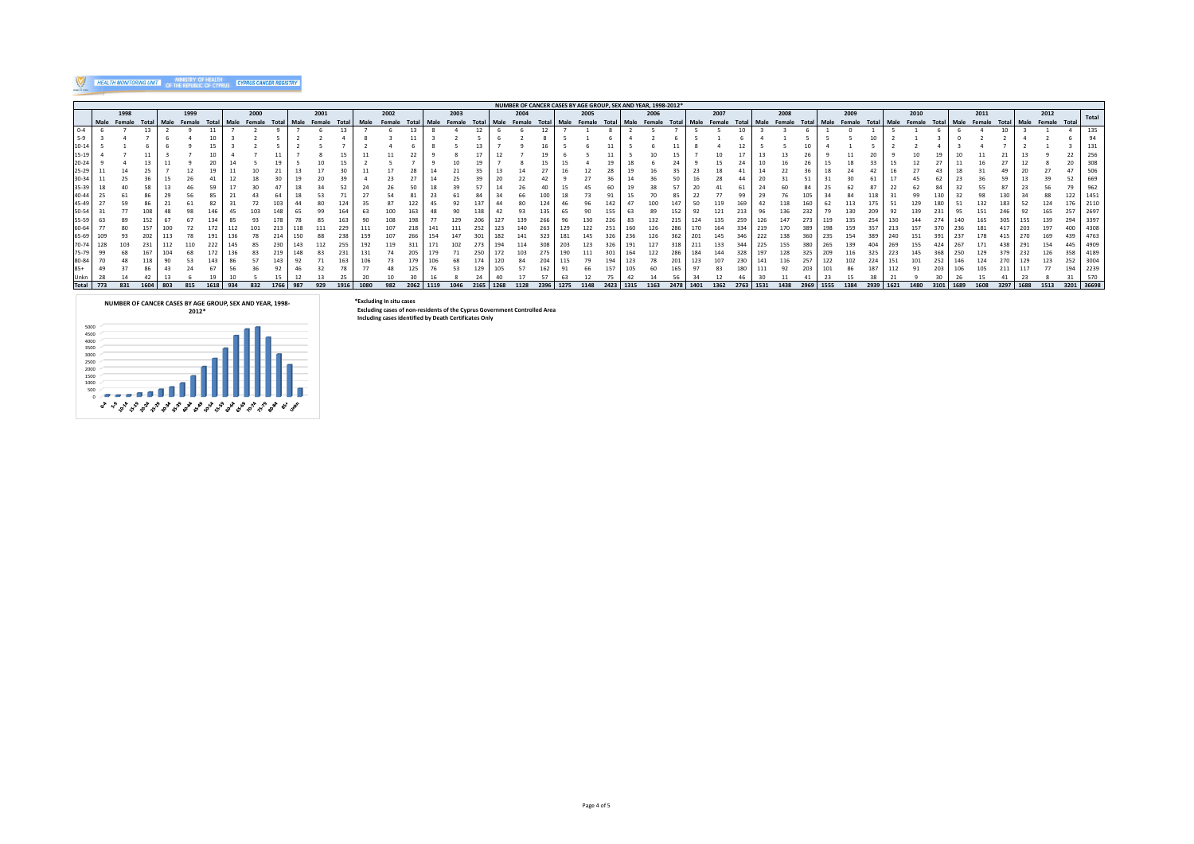## **WEALTH MONITORING UNIT | OF THE REPUBLIC OF CYPRUS | GYPRUS CANCER REGISTRY**

| NUMBER OF CANCER CASES BY AGE GROUP, SEX AND YEAR, 1998-2012* |             |      |       |      |              |  |      |        |       |      |        |       |      |        |       |      |        |      |      |        |       |      |        |       |      |        |       |      |        |       |      |        |           |             |       |      |        |      |      |      |      |      |                                           |            |       |
|---------------------------------------------------------------|-------------|------|-------|------|--------------|--|------|--------|-------|------|--------|-------|------|--------|-------|------|--------|------|------|--------|-------|------|--------|-------|------|--------|-------|------|--------|-------|------|--------|-----------|-------------|-------|------|--------|------|------|------|------|------|-------------------------------------------|------------|-------|
|                                                               |             | 1998 |       |      | 1999         |  |      | 2000   |       |      | 2001   |       |      | 2002   |       |      | 2003   |      |      | 2004   |       |      | 2005   |       |      | 2006   |       |      | 2007   |       |      | 2008   |           | 2009        |       |      | 2010   |      |      | 2011 |      |      | 2012                                      |            | Total |
|                                                               | Male Female |      | Total | Male | Female Total |  | Male | Female | Total | Male | Female | Total | Male | Female | Total |      | Female | Tot: |      | Female | Total | Male | Female | Total | Male | Female | Total | Male | Female | Total | Male | Female | Total     | Male Female | Total | Male | Female |      |      |      |      |      | Total Male Female Total Male Female Total |            |       |
| $0 - 4$                                                       |             |      |       |      |              |  |      |        |       |      |        |       |      |        |       |      |        |      |      |        |       |      |        |       |      |        |       |      |        |       |      |        |           |             |       |      |        |      |      |      |      |      |                                           |            |       |
|                                                               |             |      |       |      |              |  |      |        |       |      |        |       |      |        |       |      |        |      |      |        |       |      |        |       |      |        |       |      |        |       |      |        |           |             |       |      |        |      |      |      |      |      |                                           |            |       |
|                                                               |             |      |       |      |              |  |      |        |       |      |        |       |      |        |       |      |        |      |      |        |       |      |        |       |      |        |       |      |        |       |      |        |           |             |       |      |        |      |      |      |      |      |                                           |            |       |
|                                                               |             |      |       |      |              |  |      |        |       |      |        |       |      |        |       |      |        |      |      |        |       |      |        |       |      |        |       |      |        |       |      |        |           |             |       |      |        |      |      |      |      |      |                                           |            |       |
|                                                               |             |      |       |      |              |  |      |        |       |      |        |       |      |        |       |      |        |      |      |        |       |      |        |       |      |        |       |      |        |       |      |        |           |             |       |      |        |      |      |      |      |      |                                           |            |       |
|                                                               |             |      |       |      |              |  |      |        |       |      |        |       |      |        |       |      |        |      |      |        |       |      |        |       |      |        |       |      |        |       |      |        |           |             |       |      |        |      |      |      |      |      |                                           |            |       |
|                                                               |             |      |       |      |              |  |      |        |       |      |        |       |      |        |       |      |        |      |      |        |       |      |        |       |      |        |       |      |        |       |      |        |           |             |       |      |        |      |      |      |      |      |                                           |            |       |
|                                                               |             |      |       |      |              |  |      |        |       |      |        |       |      |        |       |      |        |      |      |        |       |      |        |       |      |        |       |      |        |       |      |        |           |             |       |      |        |      |      |      |      |      |                                           |            |       |
|                                                               |             |      |       |      |              |  |      |        |       |      |        |       |      |        |       |      |        |      |      |        |       |      |        |       |      |        |       |      |        |       |      |        |           |             |       |      |        |      |      |      |      |      |                                           |            |       |
| 45-49                                                         |             |      |       |      |              |  |      |        |       |      |        |       |      |        |       |      |        |      |      |        |       |      |        |       |      |        |       |      |        |       |      |        |           |             |       |      |        |      |      |      |      |      |                                           |            |       |
|                                                               |             |      |       |      |              |  |      |        |       |      |        |       |      |        |       |      |        |      |      |        |       |      |        |       |      |        |       |      |        |       |      |        |           |             |       |      |        |      |      |      |      |      |                                           |            | 2697  |
|                                                               |             |      |       |      |              |  |      |        |       |      |        |       |      |        |       |      |        |      |      |        |       |      |        |       |      |        |       |      |        |       |      |        |           |             |       |      |        |      |      |      |      |      |                                           |            | 3397  |
|                                                               |             |      |       |      |              |  |      |        |       |      |        |       |      |        |       |      |        |      |      |        |       |      |        |       |      |        |       |      |        |       |      |        |           |             |       |      |        |      |      |      |      |      |                                           |            | 4308  |
| 65-69                                                         |             |      |       |      |              |  |      |        |       |      |        |       |      |        |       |      |        |      |      |        |       |      |        |       |      |        |       |      |        |       |      |        |           |             |       |      |        |      |      |      |      |      |                                           |            | 4763  |
|                                                               |             |      |       |      |              |  |      |        |       |      |        | 255   |      |        |       |      |        |      |      |        |       |      |        |       |      |        |       |      |        |       |      |        |           |             |       |      |        |      |      |      |      |      |                                           |            | 4909  |
|                                                               |             |      |       |      |              |  |      |        |       |      |        |       |      |        |       |      |        |      |      |        |       |      |        |       |      |        |       |      |        |       |      |        |           |             |       |      |        |      |      |      |      |      |                                           |            |       |
|                                                               |             |      |       |      |              |  |      |        |       |      |        |       |      |        |       |      |        |      |      |        |       |      |        |       |      |        |       |      |        |       |      |        |           |             |       |      |        |      |      |      |      |      |                                           |            | 4189  |
|                                                               |             |      |       |      |              |  |      |        |       |      |        |       |      |        |       |      |        |      |      |        |       |      |        |       |      |        |       |      |        |       |      |        |           |             |       |      |        |      |      |      |      |      |                                           |            | 3004  |
|                                                               |             |      |       |      |              |  |      |        |       |      |        |       |      |        |       |      |        |      |      |        |       |      |        |       |      |        |       |      |        |       |      |        |           |             |       |      |        |      |      |      |      |      |                                           |            | 2239  |
|                                                               |             |      |       |      |              |  |      |        |       |      |        |       |      |        |       |      |        |      |      |        |       |      |        |       |      |        |       |      |        |       |      |        |           |             |       |      |        |      |      |      |      |      |                                           |            |       |
| <b>Total</b>                                                  | 773         | 831  |       | 803  | 815          |  |      | 832    | 1766  | 987  | 929    | 1916  | 1080 | 982    | 2062  | 1119 | 1046   | 2165 | 1268 | 1128   | 2396  | 1275 | 1148   | 2423  | 1315 | 1163   | 2478  | 1401 | 1362   | 2763  | 1531 | 1438   | 2969 1555 | 1384        | 2939  | 1621 | 1480   | 3101 | 1689 | 1608 | 3297 | 1688 | 1513                                      | 3201 36698 |       |

#### **\*Excluding In situ cases**

 **Excluding cases of non-residents of the Cyprus Government Controlled Area Including cases identified by Death Certificates Only**